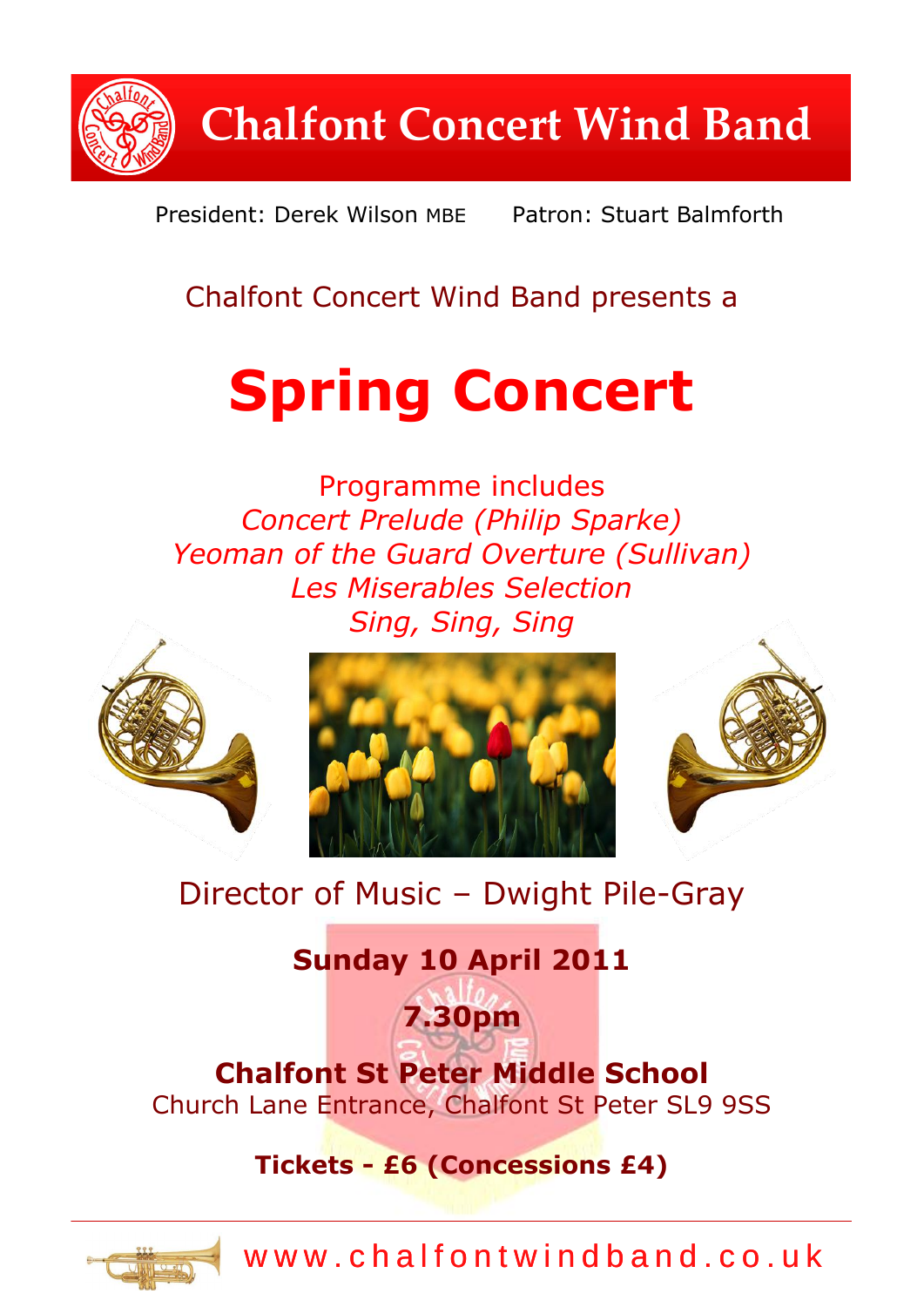**Chalfont Concert Wind Band**

President: Derek Wilson MBE Patron: Stuart Balmforth

# Chalfont Concert Wind Band presents a

# **Spring Concert**

Programme includes *Concert Prelude (Philip Sparke) Yeoman of the Guard Overture (Sullivan) Les Miserables Selection Sing, Sing, Sing*



# Director of Music – Dwight Pile-Gray

# **Sunday 10 April 2011**

# **Chalfont St Peter Middle School** Church Lane Entrance, Chalfont St Peter SL9 9SS

**7.30pm**

## **Tickets - £6 (Concessions £4)**



www.chalfontwindband.co.uk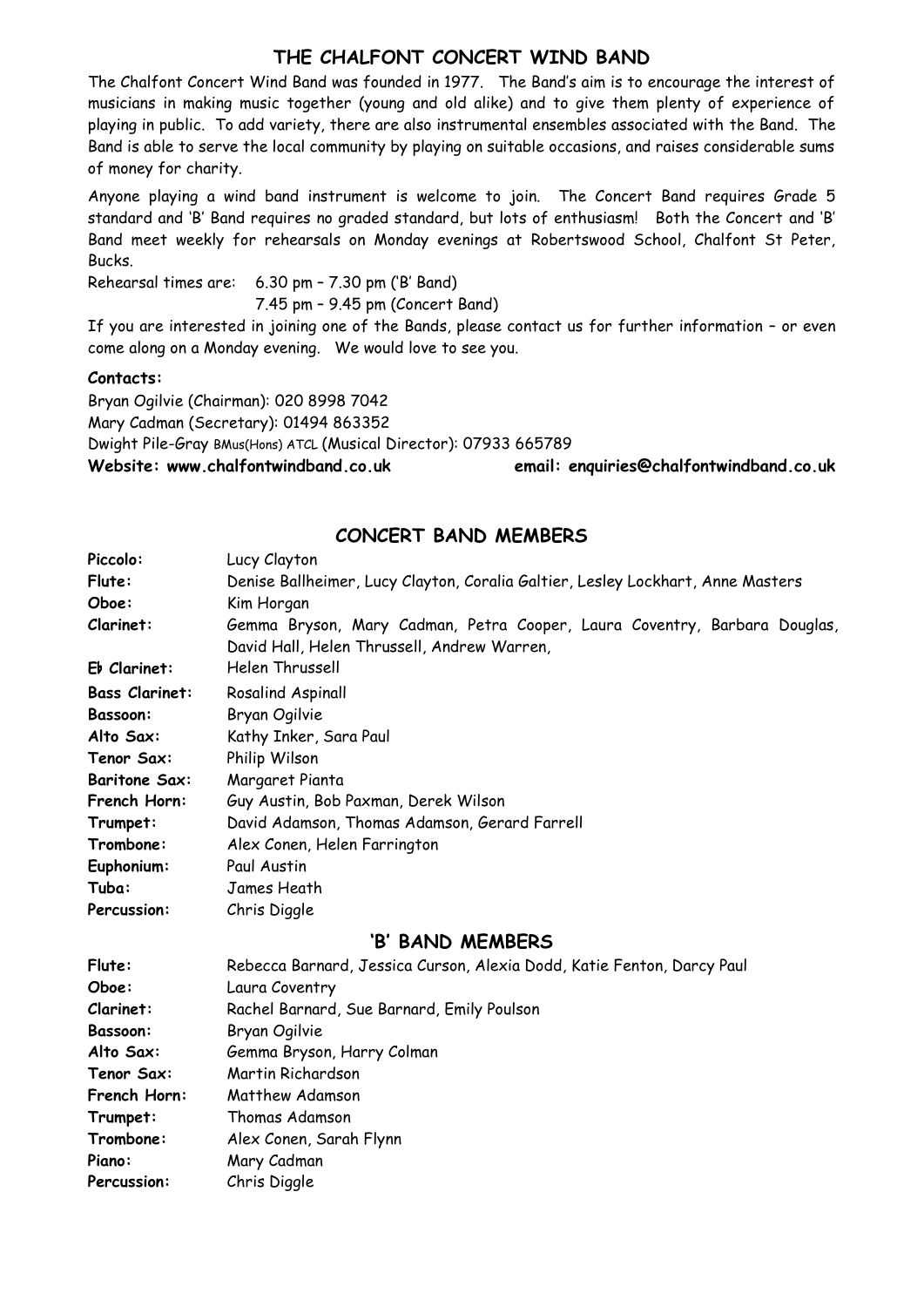#### **THE CHALFONT CONCERT WIND BAND**

The Chalfont Concert Wind Band was founded in 1977. The Band's aim is to encourage the interest of musicians in making music together (young and old alike) and to give them plenty of experience of playing in public. To add variety, there are also instrumental ensembles associated with the Band. The Band is able to serve the local community by playing on suitable occasions, and raises considerable sums of money for charity.

Anyone playing a wind band instrument is welcome to join. The Concert Band requires Grade 5 standard and 'B' Band requires no graded standard, but lots of enthusiasm! Both the Concert and 'B' Band meet weekly for rehearsals on Monday evenings at Robertswood School, Chalfont St Peter, Bucks.

Rehearsal times are: 6.30 pm – 7.30 pm ('B' Band) 7.45 pm – 9.45 pm (Concert Band)

If you are interested in joining one of the Bands, please contact us for further information – or even come along on a Monday evening. We would love to see you.

#### **Contacts:**

Bryan Ogilvie (Chairman): 020 8998 7042 Mary Cadman (Secretary): 01494 863352 Dwight Pile-Gray BMus(Hons) ATCL (Musical Director): 07933 665789 **Website: www.chalfontwindband.co.uk email: enquiries@chalfontwindband.co.uk** 

#### **CONCERT BAND MEMBERS**

| Piccolo:              | Lucy Clayton                                                                    |
|-----------------------|---------------------------------------------------------------------------------|
| Flute:                | Denise Ballheimer, Lucy Clayton, Coralia Galtier, Lesley Lockhart, Anne Masters |
| Oboe:                 | Kim Horgan                                                                      |
| Clarinet:             | Gemma Bryson, Mary Cadman, Petra Cooper, Laura Coventry, Barbara Douglas,       |
|                       | David Hall, Helen Thrussell, Andrew Warren,                                     |
| $E\flat$ Clarinet:    | Helen Thrussell                                                                 |
| <b>Bass Clarinet:</b> | Rosalind Aspinall                                                               |
| <b>Bassoon:</b>       | Bryan Ogilvie                                                                   |
| Alto Sax:             | Kathy Inker, Sara Paul                                                          |
| Tenor Sax:            | Philip Wilson                                                                   |
| <b>Baritone Sax:</b>  | Margaret Pianta                                                                 |
| French Horn:          | Guy Austin, Bob Paxman, Derek Wilson                                            |
| Trumpet:              | David Adamson, Thomas Adamson, Gerard Farrell                                   |
| Trombone:             | Alex Conen, Helen Farrington                                                    |
| Euphonium:            | Paul Austin                                                                     |
| Tuba:                 | James Heath                                                                     |
| Percussion:           | Chris Diggle                                                                    |
|                       | 'B' BAND MEMBERS                                                                |
| <b>CL.L</b>           | Debasse Depresed Toggies Cuper Alavia Dedd Vetia Ferter DeputDeul               |

#### **Flute:** Rebecca Barnard, Jessica Curson, Alexia Dodd, Katie Fenton, Darcy Paul **Oboe:** Laura Coventry **Clarinet:** Rachel Barnard, Sue Barnard, Emily Poulson **Bassoon:** Bryan Ogilvie Alto Sax: **Gemma Bryson, Harry Colman Tenor Sax:** Martin Richardson **French Horn:** Matthew Adamson **Trumpet:** Thomas Adamson **Trombone:** Alex Conen, Sarah Flynn **Piano:** Mary Cadman **Percussion:** Chris Diggle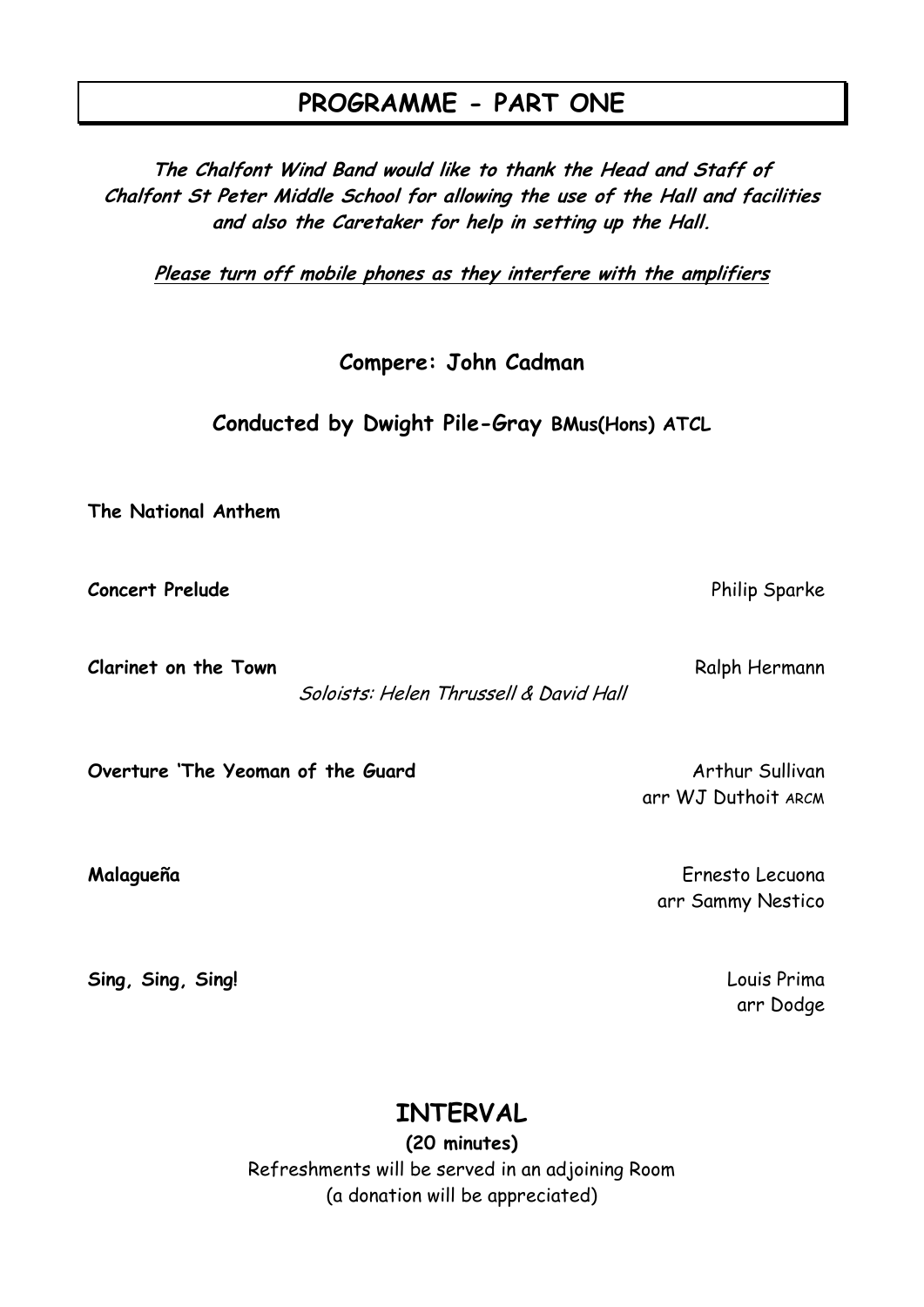#### **PROGRAMME - PART ONE**

**The Chalfont Wind Band would like to thank the Head and Staff of Chalfont St Peter Middle School for allowing the use of the Hall and facilities and also the Caretaker for help in setting up the Hall.**

**Please turn off mobile phones as they interfere with the amplifiers**

**Compere: John Cadman**

**Conducted by Dwight Pile-Gray BMus(Hons) ATCL**

**The National Anthem**

**Concert Prelude** Philip Sparke Philip Sparke Philip Sparke Philip Sparke Philip Sparke

**Clarinet on the Town Ralph Hermann** 

Soloists: Helen Thrussell & David Hall

**Overture 'The Yeoman of the Guard** Container and Arthur Sullivan

**Sing, Sing, Sing!** Louis Prima

arr WJ Duthoit ARCM

**Malagueña** Ernesto Lecuona arr Sammy Nestico

arr Dodge

#### **INTERVAL**

**(20 minutes)** Refreshments will be served in an adjoining Room (a donation will be appreciated)